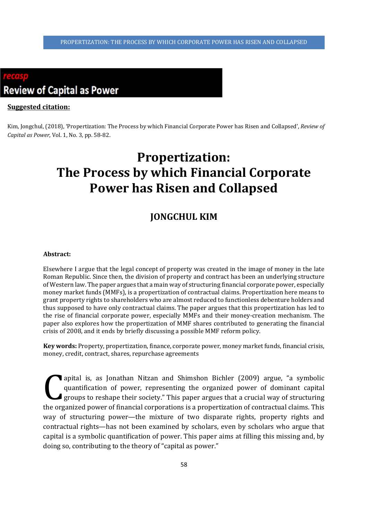

#### **Suggested citation:**

Kim, Jongchul, (2018), 'Propertization: The Process by which Financial Corporate Power has Risen and Collapsed', *Review of Capital as Power*, Vol. 1, No. 3, pp. 58‐82. 

# **Propertization: The Process by which Financial Corporate Power has Risen and Collapsed**

## **JONGCHUL KIM**

#### **Abstract:**

Elsewhere I argue that the legal concept of property was created in the image of money in the late Roman Republic. Since then, the division of property and contract has been an underlying structure of Western law. The paper argues that a main way of structuring financial corporate power, especially money market funds (MMFs), is a propertization of contractual claims. Propertization here means to grant property rights to shareholders who are almost reduced to functionless debenture holders and thus supposed to have only contractual claims. The paper argues that this propertization has led to the rise of financial corporate power, especially MMFs and their money-creation mechanism. The paper also explores how the propertization of MMF shares contributed to generating the financial crisis of 2008, and it ends by briefly discussing a possible MMF reform policy.

**Key words:** Property, propertization, finance, corporate power, money market funds, financial crisis, money, credit, contract, shares, repurchase agreements

apital is, as Jonathan Nitzan and Shimshon Bichler (2009) argue, "a symbolic quantification of power, representing the organized power of dominant capital **g** groups to reshape their society." This paper argues that a crucial way of structuring the organized power of financial corporations is a propertization of contractual claims. This way of structuring power—the mixture of two disparate rights, property rights and contractual rights—has not been examined by scholars, even by scholars who argue that capital is a symbolic quantification of power. This paper aims at filling this missing and, by doing so, contributing to the theory of "capital as power." C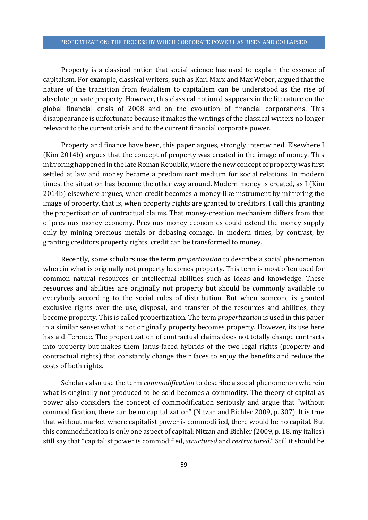Property is a classical notion that social science has used to explain the essence of capitalism. For example, classical writers, such as Karl Marx and Max Weber, argued that the nature of the transition from feudalism to capitalism can be understood as the rise of absolute private property. However, this classical notion disappears in the literature on the global financial crisis of 2008 and on the evolution of financial corporations. This disappearance is unfortunate because it makes the writings of the classical writers no longer relevant to the current crisis and to the current financial corporate power.

Property and finance have been, this paper argues, strongly intertwined. Elsewhere I (Kim 2014b) argues that the concept of property was created in the image of money. This mirroring happened in the late Roman Republic, where the new concept of property was first settled at law and money became a predominant medium for social relations. In modern times, the situation has become the other way around. Modern money is created, as I (Kim 2014b) elsewhere argues, when credit becomes a money-like instrument by mirroring the image of property, that is, when property rights are granted to creditors. I call this granting the propertization of contractual claims. That money-creation mechanism differs from that of previous money economy. Previous money economies could extend the money supply only by mining precious metals or debasing coinage. In modern times, by contrast, by granting creditors property rights, credit can be transformed to money.

Recently, some scholars use the term *propertization* to describe a social phenomenon wherein what is originally not property becomes property. This term is most often used for common natural resources or intellectual abilities such as ideas and knowledge. These resources and abilities are originally not property but should be commonly available to everybody according to the social rules of distribution. But when someone is granted exclusive rights over the use, disposal, and transfer of the resources and abilities, they become property. This is called propertization. The term *propertization* is used in this paper in a similar sense: what is not originally property becomes property. However, its use here has a difference. The propertization of contractual claims does not totally change contracts into property but makes them Janus-faced hybrids of the two legal rights (property and contractual rights) that constantly change their faces to enjoy the benefits and reduce the costs of both rights.

Scholars also use the term *commodification* to describe a social phenomenon wherein what is originally not produced to be sold becomes a commodity. The theory of capital as power also considers the concept of commodification seriously and argue that "without commodification, there can be no capitalization" (Nitzan and Bichler 2009, p. 307). It is true that without market where capitalist power is commodified, there would be no capital. But this commodification is only one aspect of capital: Nitzan and Bichler (2009, p. 18, my italics) still say that "capitalist power is commodified, *structured* and *restructured*." Still it should be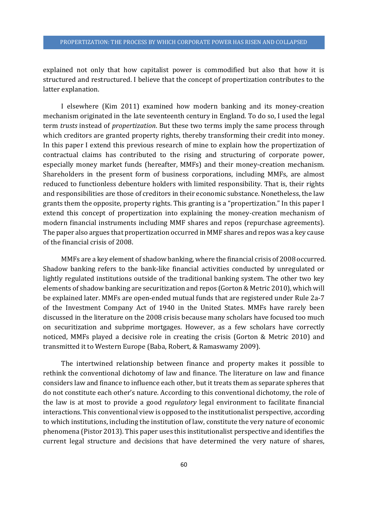explained not only that how capitalist power is commodified but also that how it is structured and restructured. I believe that the concept of propertization contributes to the latter explanation.

I elsewhere (Kim 2011) examined how modern banking and its money-creation mechanism originated in the late seventeenth century in England. To do so, I used the legal term *trusts* instead of *propertization*. But these two terms imply the same process through which creditors are granted property rights, thereby transforming their credit into money. In this paper I extend this previous research of mine to explain how the propertization of contractual claims has contributed to the rising and structuring of corporate power, especially money market funds (hereafter, MMFs) and their money-creation mechanism. Shareholders in the present form of business corporations, including MMFs, are almost reduced to functionless debenture holders with limited responsibility. That is, their rights and responsibilities are those of creditors in their economic substance. Nonetheless, the law grants them the opposite, property rights. This granting is a "propertization." In this paper I extend this concept of propertization into explaining the money-creation mechanism of modern financial instruments including MMF shares and repos (repurchase agreements). The paper also argues that propertization occurred in MMF shares and repos was a key cause of the financial crisis of 2008.

MMFs are a key element of shadow banking, where the financial crisis of 2008 occurred. Shadow banking refers to the bank-like financial activities conducted by unregulated or lightly regulated institutions outside of the traditional banking system. The other two key elements of shadow banking are securitization and repos (Gorton & Metric 2010), which will be explained later. MMFs are open-ended mutual funds that are registered under Rule 2a-7 of the Investment Company Act of 1940 in the United States. MMFs have rarely been discussed in the literature on the 2008 crisis because many scholars have focused too much on securitization and subprime mortgages. However, as a few scholars have correctly noticed, MMFs played a decisive role in creating the crisis (Gorton & Metric 2010) and transmitted it to Western Europe (Baba, Robert, & Ramaswamy 2009).

The intertwined relationship between finance and property makes it possible to rethink the conventional dichotomy of law and finance. The literature on law and finance considers law and finance to influence each other, but it treats them as separate spheres that do not constitute each other's nature. According to this conventional dichotomy, the role of the law is at most to provide a good *regulatory* legal environment to facilitate financial interactions. This conventional view is opposed to the institutionalist perspective, according to which institutions, including the institution of law, constitute the very nature of economic phenomena (Pistor 2013). This paper uses this institutionalist perspective and identifies the current legal structure and decisions that have determined the very nature of shares,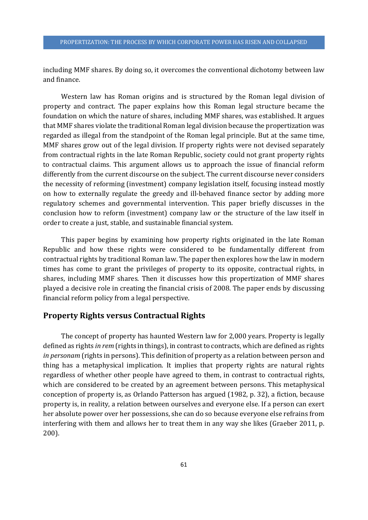including MMF shares. By doing so, it overcomes the conventional dichotomy between law and finance.

Western law has Roman origins and is structured by the Roman legal division of property and contract. The paper explains how this Roman legal structure became the foundation on which the nature of shares, including MMF shares, was established. It argues that MMF shares violate the traditional Roman legal division because the propertization was regarded as illegal from the standpoint of the Roman legal principle. But at the same time, MMF shares grow out of the legal division. If property rights were not devised separately from contractual rights in the late Roman Republic, society could not grant property rights to contractual claims. This argument allows us to approach the issue of financial reform differently from the current discourse on the subject. The current discourse never considers the necessity of reforming (investment) company legislation itself, focusing instead mostly on how to externally regulate the greedy and ill-behaved finance sector by adding more regulatory schemes and governmental intervention. This paper briefly discusses in the conclusion how to reform (investment) company law or the structure of the law itself in order to create a just, stable, and sustainable financial system.

This paper begins by examining how property rights originated in the late Roman Republic and how these rights were considered to be fundamentally different from contractual rights by traditional Roman law. The paper then explores how the law in modern times has come to grant the privileges of property to its opposite, contractual rights, in shares, including MMF shares. Then it discusses how this propertization of MMF shares played a decisive role in creating the financial crisis of 2008. The paper ends by discussing financial reform policy from a legal perspective.

## **Property Rights versus Contractual Rights**

The concept of property has haunted Western law for 2,000 years. Property is legally defined as rights *in rem* (rights in things), in contrast to contracts, which are defined as rights *in personam* (rights in persons). This definition of property as a relation between person and thing has a metaphysical implication. It implies that property rights are natural rights regardless of whether other people have agreed to them, in contrast to contractual rights, which are considered to be created by an agreement between persons. This metaphysical conception of property is, as Orlando Patterson has argued (1982, p. 32), a fiction, because property is, in reality, a relation between ourselves and everyone else. If a person can exert her absolute power over her possessions, she can do so because everyone else refrains from interfering with them and allows her to treat them in any way she likes (Graeber 2011, p. 200).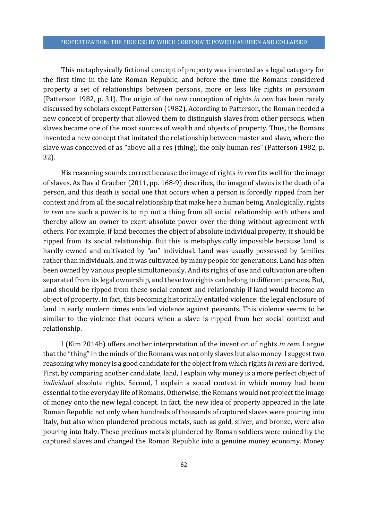This metaphysically fictional concept of property was invented as a legal category for the first time in the late Roman Republic, and before the time the Romans considered property a set of relationships between persons, more or less like rights *in personam* (Patterson 1982, p. 31). The origin of the new conception of rights *in rem* has been rarely discussed by scholars except Patterson (1982). According to Patterson, the Roman needed a new concept of property that allowed them to distinguish slaves from other persons, when slaves became one of the most sources of wealth and objects of property. Thus, the Romans invented a new concept that imitated the relationship between master and slave, where the slave was conceived of as "above all a res (thing), the only human res" (Patterson 1982, p. 32). 

His reasoning sounds correct because the image of rights *in rem* fits well for the image of slaves. As David Graeber (2011, pp. 168-9) describes, the image of slaves is the death of a person, and this death is social one that occurs when a person is forcedly ripped from her context and from all the social relationship that make her a human being. Analogically, rights *in rem* are such a power is to rip out a thing from all social relationship with others and thereby allow an owner to exert absolute power over the thing without agreement with others. For example, if land becomes the object of absolute individual property, it should be ripped from its social relationship. But this is metaphysically impossible because land is hardly owned and cultivated by "an" individual. Land was usually possessed by families rather than individuals, and it was cultivated by many people for generations. Land has often been owned by various people simultaneously. And its rights of use and cultivation are often separated from its legal ownership, and these two rights can belong to different persons. But, land should be ripped from these social context and relationship if land would become an object of property. In fact, this becoming historically entailed violence: the legal enclosure of land in early modern times entailed violence against peasants. This violence seems to be similar to the violence that occurs when a slave is ripped from her social context and relationship. 

I (Kim 2014b) offers another interpretation of the invention of rights *in rem.* I argue that the "thing" in the minds of the Romans was not only slaves but also money. I suggest two reasoning why money is a good candidate for the object from which rights *in rem* are derived. First, by comparing another candidate, land, I explain why money is a more perfect object of *individual* absolute rights. Second, I explain a social context in which money had been essential to the everyday life of Romans. Otherwise, the Romans would not project the image of money onto the new legal concept. In fact, the new idea of property appeared in the late Roman Republic not only when hundreds of thousands of captured slaves were pouring into Italy, but also when plundered precious metals, such as gold, silver, and bronze, were also pouring into Italy. These precious metals plundered by Roman soldiers were coined by the captured slaves and changed the Roman Republic into a genuine money economy. Money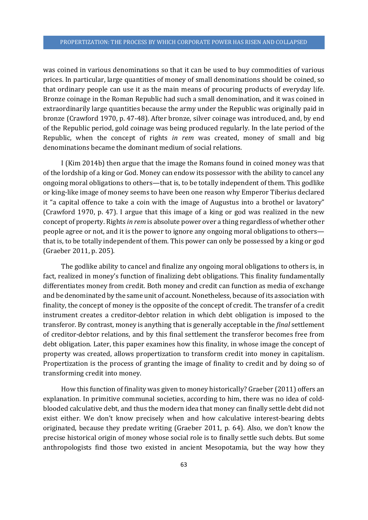was coined in various denominations so that it can be used to buy commodities of various prices. In particular, large quantities of money of small denominations should be coined, so that ordinary people can use it as the main means of procuring products of everyday life. Bronze coinage in the Roman Republic had such a small denomination, and it was coined in extraordinarily large quantities because the army under the Republic was originally paid in bronze (Crawford 1970, p. 47-48). After bronze, silver coinage was introduced, and, by end of the Republic period, gold coinage was being produced regularly. In the late period of the Republic, when the concept of rights *in rem* was created, money of small and big denominations became the dominant medium of social relations.

I (Kim 2014b) then argue that the image the Romans found in coined money was that of the lordship of a king or God. Money can endow its possessor with the ability to cancel any ongoing moral obligations to others—that is, to be totally independent of them. This godlike or king-like image of money seems to have been one reason why Emperor Tiberius declared it "a capital offence to take a coin with the image of Augustus into a brothel or lavatory" (Crawford 1970, p. 47). I argue that this image of a king or god was realized in the new concept of property. Rights *in rem* is absolute power over a thing regardless of whether other people agree or not, and it is the power to ignore any ongoing moral obligations to others that is, to be totally independent of them. This power can only be possessed by a king or god (Graeber 2011, p. 205).

The godlike ability to cancel and finalize any ongoing moral obligations to others is, in fact, realized in money's function of finalizing debt obligations. This finality fundamentally differentiates money from credit. Both money and credit can function as media of exchange and be denominated by the same unit of account. Nonetheless, because of its association with finality, the concept of money is the opposite of the concept of credit. The transfer of a credit instrument creates a creditor-debtor relation in which debt obligation is imposed to the transferor. By contrast, money is anything that is generally acceptable in the *final* settlement of creditor-debtor relations, and by this final settlement the transferor becomes free from debt obligation. Later, this paper examines how this finality, in whose image the concept of property was created, allows propertization to transform credit into money in capitalism. Propertization is the process of granting the image of finality to credit and by doing so of transforming credit into money.

How this function of finality was given to money historically? Graeber (2011) offers an explanation. In primitive communal societies, according to him, there was no idea of coldblooded calculative debt, and thus the modern idea that money can finally settle debt did not exist either. We don't know precisely when and how calculative interest-bearing debts originated, because they predate writing (Graeber 2011, p.  $64$ ). Also, we don't know the precise historical origin of money whose social role is to finally settle such debts. But some anthropologists find those two existed in ancient Mesopotamia, but the way how they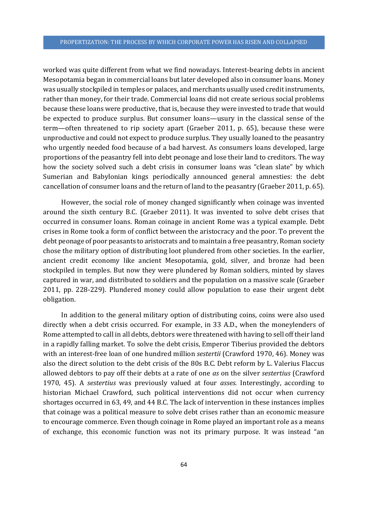worked was quite different from what we find nowadays. Interest-bearing debts in ancient Mesopotamia began in commercial loans but later developed also in consumer loans. Money was usually stockpiled in temples or palaces, and merchants usually used credit instruments, rather than money, for their trade. Commercial loans did not create serious social problems because these loans were productive, that is, because they were invested to trade that would be expected to produce surplus. But consumer loans—usury in the classical sense of the term—often threatened to rip society apart (Graeber 2011, p. 65), because these were unproductive and could not expect to produce surplus. They usually loaned to the peasantry who urgently needed food because of a bad harvest. As consumers loans developed, large proportions of the peasantry fell into debt peonage and lose their land to creditors. The way how the society solved such a debt crisis in consumer loans was "clean slate" by which Sumerian and Babylonian kings periodically announced general amnesties: the debt cancellation of consumer loans and the return of land to the peasantry (Graeber 2011, p. 65).

However, the social role of money changed significantly when coinage was invented around the sixth century B.C. (Graeber 2011). It was invented to solve debt crises that occurred in consumer loans. Roman coinage in ancient Rome was a typical example. Debt crises in Rome took a form of conflict between the aristocracy and the poor. To prevent the debt peonage of poor peasants to aristocrats and to maintain a free peasantry, Roman society chose the military option of distributing loot plundered from other societies. In the earlier, ancient credit economy like ancient Mesopotamia, gold, silver, and bronze had been stockpiled in temples. But now they were plundered by Roman soldiers, minted by slaves captured in war, and distributed to soldiers and the population on a massive scale (Graeber 2011, pp. 228-229). Plundered money could allow population to ease their urgent debt obligation. 

In addition to the general military option of distributing coins, coins were also used directly when a debt crisis occurred. For example, in 33 A.D., when the moneylenders of Rome attempted to call in all debts, debtors were threatened with having to sell off their land in a rapidly falling market. To solve the debt crisis, Emperor Tiberius provided the debtors with an interest-free loan of one hundred million *sestertii* (Crawford 1970, 46). Money was also the direct solution to the debt crisis of the 80s B.C. Debt reform by L. Valerius Flaccus allowed debtors to pay off their debts at a rate of one *as* on the silver *sestertius* (Crawford 1970, 45). A *sestertius* was previously valued at four *asses*. Interestingly, according to historian Michael Crawford, such political interventions did not occur when currency shortages occurred in 63, 49, and 44 B.C. The lack of intervention in these instances implies that coinage was a political measure to solve debt crises rather than an economic measure to encourage commerce. Even though coinage in Rome played an important role as a means of exchange, this economic function was not its primary purpose. It was instead "an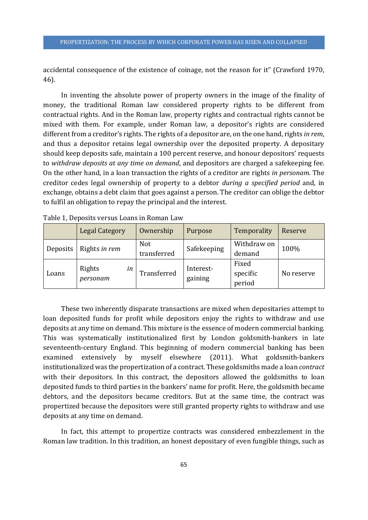accidental consequence of the existence of coinage, not the reason for it" (Crawford 1970, 46). 

In inventing the absolute power of property owners in the image of the finality of money, the traditional Roman law considered property rights to be different from contractual rights. And in the Roman law, property rights and contractual rights cannot be mixed with them. For example, under Roman law, a depositor's rights are considered different from a creditor's rights. The rights of a depositor are, on the one hand, rights *in rem*, and thus a depositor retains legal ownership over the deposited property. A depositary should keep deposits safe, maintain a 100 percent reserve, and honour depositors' requests to *withdraw deposits at any time on demand*, and depositors are charged a safekeeping fee. On the other hand, in a loan transaction the rights of a creditor are rights *in personam*. The creditor cedes legal ownership of property to a debtor *during* a *specified period* and, in exchange, obtains a debt claim that goes against a person. The creditor can oblige the debtor to fulfil an obligation to repay the principal and the interest.

|          | <b>Legal Category</b> |    | Ownership                 | Purpose              | Temporality                 | Reserve    |
|----------|-----------------------|----|---------------------------|----------------------|-----------------------------|------------|
| Deposits | Rights in rem         |    | <b>Not</b><br>transferred | Safekeeping          | Withdraw on<br>demand       | 100%       |
| Loans    | Rights<br>personam    | in | Transferred               | Interest-<br>gaining | Fixed<br>specific<br>period | No reserve |

These two inherently disparate transactions are mixed when depositaries attempt to loan deposited funds for profit while depositors enjoy the rights to withdraw and use deposits at any time on demand. This mixture is the essence of modern commercial banking. This was systematically institutionalized first by London goldsmith-bankers in late seventeenth-century England. This beginning of modern commercial banking has been examined extensively by myself elsewhere (2011). What goldsmith-bankers institutionalized was the propertization of a contract. These goldsmiths made a loan *contract* with their depositors. In this contract, the depositors allowed the goldsmiths to loan deposited funds to third parties in the bankers' name for profit. Here, the goldsmith became debtors, and the depositors became creditors. But at the same time, the contract was propertized because the depositors were still granted property rights to withdraw and use deposits at any time on demand.

In fact, this attempt to propertize contracts was considered embezzlement in the Roman law tradition. In this tradition, an honest depositary of even fungible things, such as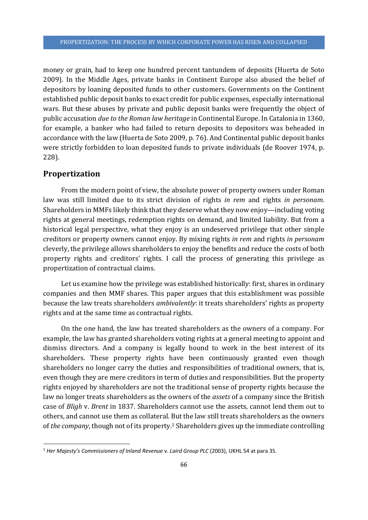money or grain, had to keep one hundred percent tantundem of deposits (Huerta de Soto 2009). In the Middle Ages, private banks in Continent Europe also abused the belief of depositors by loaning deposited funds to other customers. Governments on the Continent established public deposit banks to exact credit for public expenses, especially international wars. But these abuses by private and public deposit banks were frequently the object of public accusation *due to the Roman law heritage* in Continental Europe. In Catalonia in 1360, for example, a banker who had failed to return deposits to depositors was beheaded in accordance with the law (Huerta de Soto 2009, p. 76). And Continental public deposit banks were strictly forbidden to loan deposited funds to private individuals (de Roover 1974, p. 228). 

### **Propertization**

From the modern point of view, the absolute power of property owners under Roman law was still limited due to its strict division of rights *in rem* and rights *in personam*. Shareholders in MMFs likely think that they deserve what they now enjoy—including voting rights at general meetings, redemption rights on demand, and limited liability. But from a historical legal perspective, what they enjoy is an undeserved privilege that other simple creditors or property owners cannot enjoy. By mixing rights *in rem* and rights *in personam* cleverly, the privilege allows shareholders to enjoy the benefits and reduce the costs of both property rights and creditors' rights. I call the process of generating this privilege as propertization of contractual claims.

Let us examine how the privilege was established historically: first, shares in ordinary companies and then MMF shares. This paper argues that this establishment was possible because the law treats shareholders *ambivalently*: it treats shareholders' rights as property rights and at the same time as contractual rights.

On the one hand, the law has treated shareholders as the owners of a company. For example, the law has granted shareholders voting rights at a general meeting to appoint and dismiss directors. And a company is legally bound to work in the best interest of its shareholders. These property rights have been continuously granted even though shareholders no longer carry the duties and responsibilities of traditional owners, that is, even though they are mere creditors in term of duties and responsibilities. But the property rights enjoyed by shareholders are not the traditional sense of property rights because the law no longer treats shareholders as the owners of the *assets* of a company since the British case of *Bligh* v. *Brent* in 1837. Shareholders cannot use the assets, cannot lend them out to others, and cannot use them as collateral. But the law still treats shareholders as the owners of *the company*, though not of its property.<sup>1</sup> Shareholders gives up the immediate controlling

<sup>1</sup> *Her Majesty's Commissioners of Inland Revenue* v. *Laird Group PLC* (2003), UKHL 54 at para 35.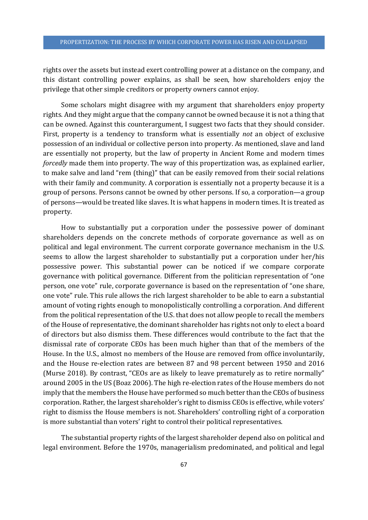rights over the assets but instead exert controlling power at a distance on the company, and this distant controlling power explains, as shall be seen, how shareholders enjoy the privilege that other simple creditors or property owners cannot enjoy.

Some scholars might disagree with my argument that shareholders enjoy property rights. And they might argue that the company cannot be owned because it is not a thing that can be owned. Against this counterargument, I suggest two facts that they should consider. First, property is a tendency to transform what is essentially *not* an object of exclusive possession of an individual or collective person into property. As mentioned, slave and land are essentially not property, but the law of property in Ancient Rome and modern times *forcedly* made them into property. The way of this propertization was, as explained earlier, to make salve and land "rem (thing)" that can be easily removed from their social relations with their family and community. A corporation is essentially not a property because it is a group of persons. Persons cannot be owned by other persons. If so, a corporation—a group of persons—would be treated like slaves. It is what happens in modern times. It is treated as property. 

How to substantially put a corporation under the possessive power of dominant shareholders depends on the concrete methods of corporate governance as well as on political and legal environment. The current corporate governance mechanism in the U.S. seems to allow the largest shareholder to substantially put a corporation under her/his possessive power. This substantial power can be noticed if we compare corporate governance with political governance. Different from the politician representation of "one person, one vote" rule, corporate governance is based on the representation of "one share, one vote" rule. This rule allows the rich largest shareholder to be able to earn a substantial amount of voting rights enough to monopolistically controlling a corporation. And different from the political representation of the U.S. that does not allow people to recall the members of the House of representative, the dominant shareholder has rights not only to elect a board of directors but also dismiss them. These differences would contribute to the fact that the dismissal rate of corporate CEOs has been much higher than that of the members of the House. In the U.S., almost no members of the House are removed from office involuntarily, and the House re-election rates are between 87 and 98 percent between 1950 and 2016 (Murse 2018). By contrast, "CEOs are as likely to leave prematurely as to retire normally" around 2005 in the US (Boaz 2006). The high re-election rates of the House members do not imply that the members the House have performed so much better than the CEOs of business corporation. Rather, the largest shareholder's right to dismiss CEOs is effective, while voters' right to dismiss the House members is not. Shareholders' controlling right of a corporation is more substantial than voters' right to control their political representatives.

The substantial property rights of the largest shareholder depend also on political and legal environment. Before the 1970s, managerialism predominated, and political and legal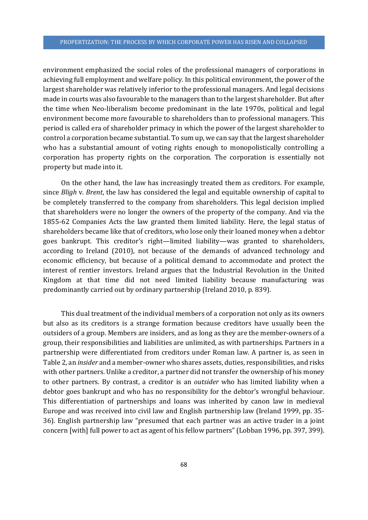environment emphasized the social roles of the professional managers of corporations in achieving full employment and welfare policy. In this political environment, the power of the largest shareholder was relatively inferior to the professional managers. And legal decisions made in courts was also favourable to the managers than to the largest shareholder. But after the time when Neo-liberalism become predominant in the late 1970s, political and legal environment become more favourable to shareholders than to professional managers. This period is called era of shareholder primacy in which the power of the largest shareholder to control a corporation became substantial. To sum up, we can say that the largest shareholder who has a substantial amount of voting rights enough to monopolistically controlling a corporation has property rights on the corporation. The corporation is essentially not property but made into it.

On the other hand, the law has increasingly treated them as creditors. For example, since *Bligh* v. *Brent*, the law has considered the legal and equitable ownership of capital to be completely transferred to the company from shareholders. This legal decision implied that shareholders were no longer the owners of the property of the company. And via the 1855-62 Companies Acts the law granted them limited liability. Here, the legal status of shareholders became like that of creditors, who lose only their loaned money when a debtor goes bankrupt. This creditor's right—limited liability—was granted to shareholders, according to Ireland (2010), not because of the demands of advanced technology and economic efficiency, but because of a political demand to accommodate and protect the interest of rentier investors. Ireland argues that the Industrial Revolution in the United Kingdom at that time did not need limited liability because manufacturing was predominantly carried out by ordinary partnership (Ireland 2010, p. 839).

This dual treatment of the individual members of a corporation not only as its owners but also as its creditors is a strange formation because creditors have usually been the outsiders of a group. Members are insiders, and as long as they are the member-owners of a group, their responsibilities and liabilities are unlimited, as with partnerships. Partners in a partnership were differentiated from creditors under Roman law. A partner is, as seen in Table 2, an *insider* and a member-owner who shares assets, duties, responsibilities, and risks with other partners. Unlike a creditor, a partner did not transfer the ownership of his money to other partners. By contrast, a creditor is an *outsider* who has limited liability when a debtor goes bankrupt and who has no responsibility for the debtor's wrongful behaviour. This differentiation of partnerships and loans was inherited by canon law in medieval Europe and was received into civil law and English partnership law (Ireland 1999, pp. 35– 36). English partnership law "presumed that each partner was an active trader in a joint concern [with] full power to act as agent of his fellow partners" (Lobban 1996, pp. 397, 399).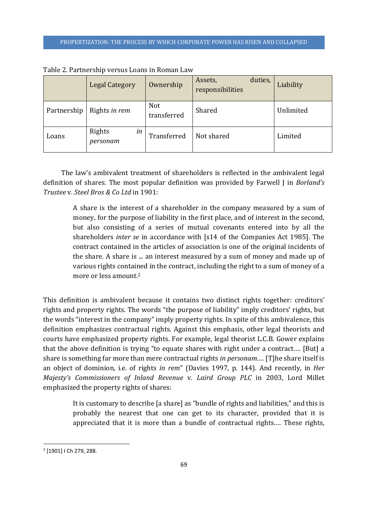#### PROPERTIZATION: THE PROCESS BY WHICH CORPORATE POWER HAS RISEN AND COLLAPSED

|             | Legal Category           | Ownership                 | duties,<br>Assets,<br>responsibilities | Liability |
|-------------|--------------------------|---------------------------|----------------------------------------|-----------|
| Partnership | Rights in rem            | <b>Not</b><br>transferred | Shared                                 | Unlimited |
| Loans       | Rights<br>in<br>personam | Transferred               | Not shared                             | Limited   |

Table 2. Partnership versus Loans in Roman Law

The law's ambivalent treatment of shareholders is reflected in the ambivalent legal definition of shares. The most popular definition was provided by Farwell *J* in *Borland's Trustee* v. *Steel Bros & Co Ltd* in 1901: 

> A share is the interest of a shareholder in the company measured by a sum of money, for the purpose of liability in the first place, and of interest in the second, but also consisting of a series of mutual covenants entered into by all the shareholders *inter* se in accordance with [s14 of the Companies Act 1985]. The contract contained in the articles of association is one of the original incidents of the share. A share is ... an interest measured by a sum of money and made up of various rights contained in the contract, including the right to a sum of money of a more or less amount.<sup>2</sup>

This definition is ambivalent because it contains two distinct rights together: creditors' rights and property rights. The words "the purpose of liability" imply creditors' rights, but the words "interest in the company" imply property rights. In spite of this ambivalence, this definition emphasizes contractual rights. Against this emphasis, other legal theorists and courts have emphasized property rights. For example, legal theorist L.C.B. Gower explains that the above definition is trying "to equate shares with right under a contract.... [But] a share is something far more than mere contractual rights *in personam*.... [T]he share itself is an object of dominion, i.e. of rights in rem" (Davies 1997, p. 144). And recently, in *Her Majesty's Commissioners of Inland Revenue* v. *Laird Group PLC* in 2003, Lord Millet emphasized the property rights of shares:

> It is customary to describe [a share] as "bundle of rights and liabilities," and this is probably the nearest that one can get to its character, provided that it is appreciated that it is more than a bundle of contractual rights.... These rights,

<sup>&</sup>lt;sup>2</sup> [1901] I Ch 279, 288.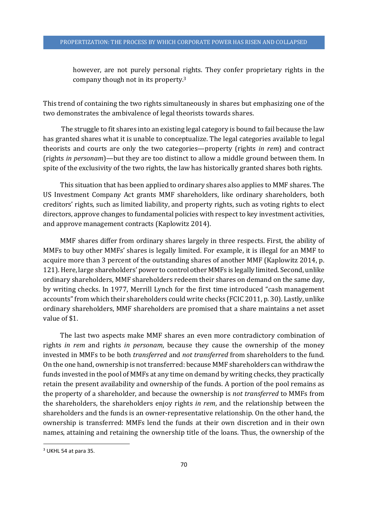however, are not purely personal rights. They confer proprietary rights in the company though not in its property. $3$ 

This trend of containing the two rights simultaneously in shares but emphasizing one of the two demonstrates the ambivalence of legal theorists towards shares.

The struggle to fit shares into an existing legal category is bound to fail because the law has granted shares what it is unable to conceptualize. The legal categories available to legal theorists and courts are only the two categories—property (rights *in rem*) and contract (rights *in personam*)—but they are too distinct to allow a middle ground between them. In spite of the exclusivity of the two rights, the law has historically granted shares both rights.

This situation that has been applied to ordinary shares also applies to MMF shares. The US Investment Company Act grants MMF shareholders, like ordinary shareholders, both creditors' rights, such as limited liability, and property rights, such as voting rights to elect directors, approve changes to fundamental policies with respect to key investment activities, and approve management contracts (Kaplowitz 2014).

MMF shares differ from ordinary shares largely in three respects. First, the ability of MMFs to buy other MMFs' shares is legally limited. For example, it is illegal for an MMF to acquire more than 3 percent of the outstanding shares of another MMF (Kaplowitz 2014, p. 121). Here, large shareholders' power to control other MMFs is legally limited. Second, unlike ordinary shareholders, MMF shareholders redeem their shares on demand on the same day, by writing checks. In 1977, Merrill Lynch for the first time introduced "cash management accounts" from which their shareholders could write checks (FCIC 2011, p. 30). Lastly, unlike ordinary shareholders, MMF shareholders are promised that a share maintains a net asset value of \$1.

The last two aspects make MMF shares an even more contradictory combination of rights *in* rem and rights *in* personam, because they cause the ownership of the money invested in MMFs to be both *transferred* and *not transferred* from shareholders to the fund. On the one hand, ownership is not transferred: because MMF shareholders can withdraw the funds invested in the pool of MMFs at any time on demand by writing checks, they practically retain the present availability and ownership of the funds. A portion of the pool remains as the property of a shareholder, and because the ownership is *not transferred* to MMFs from the shareholders, the shareholders enjoy rights *in rem*, and the relationship between the shareholders and the funds is an owner-representative relationship. On the other hand, the ownership is transferred: MMFs lend the funds at their own discretion and in their own names, attaining and retaining the ownership title of the loans. Thus, the ownership of the

 $3$  UKHL 54 at para 35.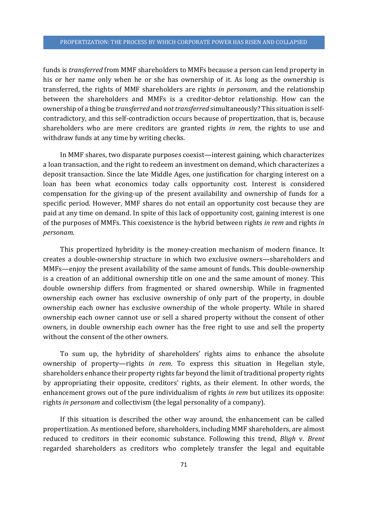#### PROPERTIZATION: THE PROCESS BY WHICH CORPORATE POWER HAS RISEN AND COLLAPSED

funds is *transferred* from MMF shareholders to MMFs because a person can lend property in his or her name only when he or she has ownership of it. As long as the ownership is transferred, the rights of MMF shareholders are rights *in personam*, and the relationship between the shareholders and MMFs is a creditor-debtor relationship. How can the ownership of a thing be *transferred* and *not transferred* simultaneously? This situation is selfcontradictory, and this self-contradiction occurs because of propertization, that is, because shareholders who are mere creditors are granted rights *in rem*, the rights to use and withdraw funds at any time by writing checks.

In MMF shares, two disparate purposes coexist—interest gaining, which characterizes a loan transaction, and the right to redeem an investment on demand, which characterizes a deposit transaction. Since the late Middle Ages, one justification for charging interest on a loan has been what economics today calls opportunity cost. Interest is considered compensation for the giving-up of the present availability and ownership of funds for a specific period. However, MMF shares do not entail an opportunity cost because they are paid at any time on demand. In spite of this lack of opportunity cost, gaining interest is one of the purposes of MMFs. This coexistence is the hybrid between rights *in rem* and rights *in personam*. 

This propertized hybridity is the money-creation mechanism of modern finance. It creates a double-ownership structure in which two exclusive owners—shareholders and MMFs—enjoy the present availability of the same amount of funds. This double-ownership is a creation of an additional ownership title on one and the same amount of money. This double ownership differs from fragmented or shared ownership. While in fragmented ownership each owner has exclusive ownership of only part of the property, in double ownership each owner has exclusive ownership of the whole property. While in shared ownership each owner cannot use or sell a shared property without the consent of other owners, in double ownership each owner has the free right to use and sell the property without the consent of the other owners.

To sum up, the hybridity of shareholders' rights aims to enhance the absolute ownership of property—rights in rem. To express this situation in Hegelian style, shareholders enhance their property rights far beyond the limit of traditional property rights by appropriating their opposite, creditors' rights, as their element. In other words, the enhancement grows out of the pure individualism of rights *in rem* but utilizes its opposite: rights *in personam* and collectivism (the legal personality of a company).

If this situation is described the other way around, the enhancement can be called propertization. As mentioned before, shareholders, including MMF shareholders, are almost reduced to creditors in their economic substance. Following this trend, *Bligh* v. *Brent* regarded shareholders as creditors who completely transfer the legal and equitable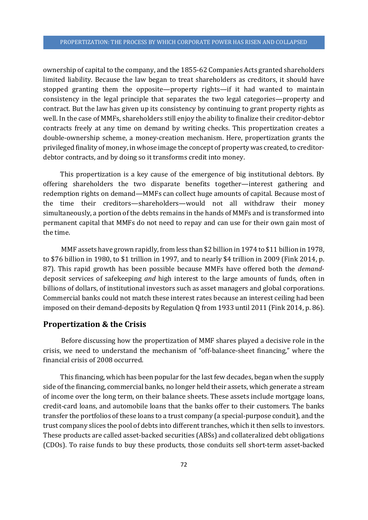ownership of capital to the company, and the 1855-62 Companies Acts granted shareholders limited liability. Because the law began to treat shareholders as creditors, it should have stopped granting them the opposite—property rights—if it had wanted to maintain consistency in the legal principle that separates the two legal categories—property and contract. But the law has given up its consistency by continuing to grant property rights as well. In the case of MMFs, shareholders still enjoy the ability to finalize their creditor-debtor contracts freely at any time on demand by writing checks. This propertization creates a double-ownership scheme, a money-creation mechanism. Here, propertization grants the privileged finality of money, in whose image the concept of property was created, to creditordebtor contracts, and by doing so it transforms credit into money.

This propertization is a key cause of the emergence of big institutional debtors. By offering shareholders the two disparate benefits together—interest gathering and redemption rights on demand—MMFs can collect huge amounts of capital. Because most of the time their creditors—shareholders—would not all withdraw their money simultaneously, a portion of the debts remains in the hands of MMFs and is transformed into permanent capital that MMFs do not need to repay and can use for their own gain most of the time.

MMF assets have grown rapidly, from less than \$2 billion in 1974 to \$11 billion in 1978, to \$76 billion in 1980, to \$1 trillion in 1997, and to nearly \$4 trillion in 2009 (Fink 2014, p. 87). This rapid growth has been possible because MMFs have offered both the *demand*deposit services of safekeeping *and* high interest to the large amounts of funds, often in billions of dollars, of institutional investors such as asset managers and global corporations. Commercial banks could not match these interest rates because an interest ceiling had been imposed on their demand-deposits by Regulation Q from 1933 until 2011 (Fink 2014, p. 86).

## **Propertization & the Crisis**

Before discussing how the propertization of MMF shares played a decisive role in the crisis, we need to understand the mechanism of "off-balance-sheet financing," where the financial crisis of 2008 occurred.

This financing, which has been popular for the last few decades, began when the supply side of the financing, commercial banks, no longer held their assets, which generate a stream of income over the long term, on their balance sheets. These assets include mortgage loans, credit-card loans, and automobile loans that the banks offer to their customers. The banks transfer the portfolios of these loans to a trust company (a special-purpose conduit), and the trust company slices the pool of debts into different tranches, which it then sells to investors. These products are called asset-backed securities (ABSs) and collateralized debt obligations (CDOs). To raise funds to buy these products, those conduits sell short-term asset-backed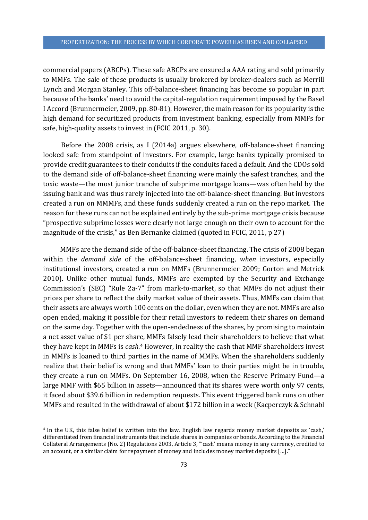commercial papers (ABCPs). These safe ABCPs are ensured a AAA rating and sold primarily to MMFs. The sale of these products is usually brokered by broker-dealers such as Merrill Lynch and Morgan Stanley. This off-balance-sheet financing has become so popular in part because of the banks' need to avoid the capital-regulation requirement imposed by the Basel I Accord (Brunnermeier, 2009, pp. 80-81). However, the main reason for its popularity is the high demand for securitized products from investment banking, especially from MMFs for safe, high-quality assets to invest in (FCIC 2011, p. 30).

Before the  $2008$  crisis, as I (2014a) argues elsewhere, off-balance-sheet financing looked safe from standpoint of investors. For example, large banks typically promised to provide credit guarantees to their conduits if the conduits faced a default. And the CDOs sold to the demand side of off-balance-sheet financing were mainly the safest tranches, and the toxic waste—the most junior tranche of subprime mortgage loans—was often held by the issuing bank and was thus rarely injected into the off-balance-sheet financing. But investors created a run on MMMFs, and these funds suddenly created a run on the repo market. The reason for these runs cannot be explained entirely by the sub-prime mortgage crisis because "prospective subprime losses were clearly not large enough on their own to account for the magnitude of the crisis," as Ben Bernanke claimed (quoted in FCIC, 2011, p 27)

MMFs are the demand side of the off-balance-sheet financing. The crisis of 2008 began within the *demand* side of the off-balance-sheet financing, when investors, especially institutional investors, created a run on MMFs (Brunnermeier 2009; Gorton and Metrick 2010). Unlike other mutual funds, MMFs are exempted by the Security and Exchange Commission's (SEC) "Rule 2a-7" from mark-to-market, so that MMFs do not adjust their prices per share to reflect the daily market value of their assets. Thus, MMFs can claim that their assets are always worth 100 cents on the dollar, even when they are not. MMFs are also open ended, making it possible for their retail investors to redeem their shares on demand on the same day. Together with the open-endedness of the shares, by promising to maintain a net asset value of \$1 per share, MMFs falsely lead their shareholders to believe that what they have kept in MMFs is *cash*.<sup>4</sup> However, in reality the cash that MMF shareholders invest in MMFs is loaned to third parties in the name of MMFs. When the shareholders suddenly realize that their belief is wrong and that MMFs' loan to their parties might be in trouble, they create a run on MMFs. On September 16, 2008, when the Reserve Primary Fund—a large MMF with \$65 billion in assets—announced that its shares were worth only 97 cents, it faced about \$39.6 billion in redemption requests. This event triggered bank runs on other MMFs and resulted in the withdrawal of about \$172 billion in a week (Kacperczyk & Schnabl

 $4$  In the UK, this false belief is written into the law. English law regards money market deposits as 'cash,' differentiated from financial instruments that include shares in companies or bonds. According to the Financial Collateral Arrangements (No. 2) Regulations 2003, Article 3, "'cash' means money in any currency, credited to an account, or a similar claim for repayment of money and includes money market deposits  $[...]$ ."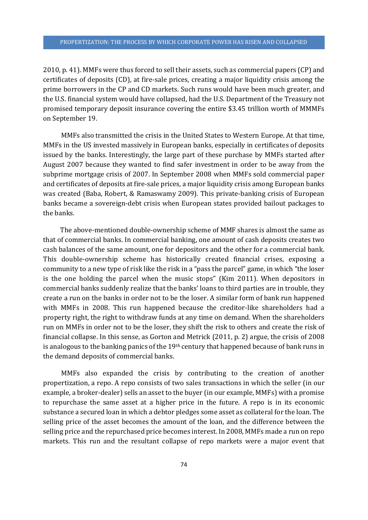#### PROPERTIZATION: THE PROCESS BY WHICH CORPORATE POWER HAS RISEN AND COLLAPSED

2010, p. 41). MMFs were thus forced to sell their assets, such as commercial papers (CP) and certificates of deposits (CD), at fire-sale prices, creating a major liquidity crisis among the prime borrowers in the CP and CD markets. Such runs would have been much greater, and the U.S. financial system would have collapsed, had the U.S. Department of the Treasury not promised temporary deposit insurance covering the entire \$3.45 trillion worth of MMMFs on September 19.

MMFs also transmitted the crisis in the United States to Western Europe. At that time, MMFs in the US invested massively in European banks, especially in certificates of deposits issued by the banks. Interestingly, the large part of these purchase by MMFs started after August 2007 because they wanted to find safer investment in order to be away from the subprime mortgage crisis of 2007. In September 2008 when MMFs sold commercial paper and certificates of deposits at fire-sale prices, a major liquidity crisis among European banks was created (Baba, Robert, & Ramaswamy 2009). This private-banking crisis of European banks became a sovereign-debt crisis when European states provided bailout packages to the banks.

The above-mentioned double-ownership scheme of MMF shares is almost the same as that of commercial banks. In commercial banking, one amount of cash deposits creates two cash balances of the same amount, one for depositors and the other for a commercial bank. This double-ownership scheme has historically created financial crises, exposing a community to a new type of risk like the risk in a "pass the parcel" game, in which "the loser is the one holding the parcel when the music stops" (Kim 2011). When depositors in commercial banks suddenly realize that the banks' loans to third parties are in trouble, they create a run on the banks in order not to be the loser. A similar form of bank run happened with MMFs in 2008. This run happened because the creditor-like shareholders had a property right, the right to withdraw funds at any time on demand. When the shareholders run on MMFs in order not to be the loser, they shift the risk to others and create the risk of financial collapse. In this sense, as Gorton and Metrick  $(2011, p. 2)$  argue, the crisis of  $2008$ is analogous to the banking panics of the 19<sup>th</sup> century that happened because of bank runs in the demand deposits of commercial banks.

MMFs also expanded the crisis by contributing to the creation of another propertization, a repo. A repo consists of two sales transactions in which the seller (in our example, a broker-dealer) sells an asset to the buyer (in our example, MMFs) with a promise to repurchase the same asset at a higher price in the future. A repo is in its economic substance a secured loan in which a debtor pledges some asset as collateral for the loan. The selling price of the asset becomes the amount of the loan, and the difference between the selling price and the repurchased price becomes interest. In 2008, MMFs made a run on repo markets. This run and the resultant collapse of repo markets were a major event that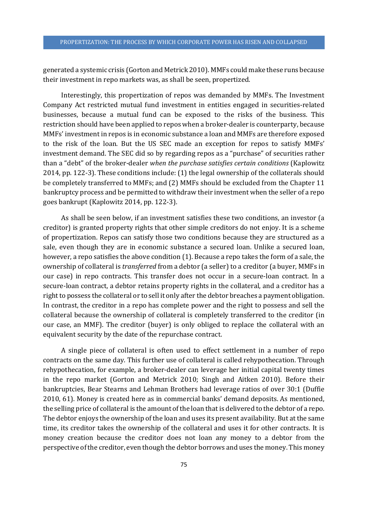generated a systemic crisis (Gorton and Metrick 2010). MMFs could make these runs because their investment in repo markets was, as shall be seen, propertized.

Interestingly, this propertization of repos was demanded by MMFs. The Investment Company Act restricted mutual fund investment in entities engaged in securities-related businesses, because a mutual fund can be exposed to the risks of the business. This restriction should have been applied to repos when a broker-dealer is counterparty, because MMFs' investment in repos is in economic substance a loan and MMFs are therefore exposed to the risk of the loan. But the US SEC made an exception for repos to satisfy MMFs' investment demand. The SEC did so by regarding repos as a "purchase" of securities rather than a "debt" of the broker‐dealer *when the purchase satisfies certain conditions* (Kaplowitz 2014, pp. 122-3). These conditions include: (1) the legal ownership of the collaterals should be completely transferred to MMFs; and (2) MMFs should be excluded from the Chapter 11 bankruptcy process and be permitted to withdraw their investment when the seller of a repo goes bankrupt (Kaplowitz 2014, pp. 122-3).

As shall be seen below, if an investment satisfies these two conditions, an investor (a creditor) is granted property rights that other simple creditors do not enjoy. It is a scheme of propertization. Repos can satisfy those two conditions because they are structured as a sale, even though they are in economic substance a secured loan. Unlike a secured loan, however, a repo satisfies the above condition (1). Because a repo takes the form of a sale, the ownership of collateral is *transferred* from a debtor (a seller) to a creditor (a buyer, MMFs in our case) in repo contracts. This transfer does not occur in a secure-loan contract. In a secure-loan contract, a debtor retains property rights in the collateral, and a creditor has a right to possess the collateral or to sell it only after the debtor breaches a payment obligation. In contrast, the creditor in a repo has complete power and the right to possess and sell the collateral because the ownership of collateral is completely transferred to the creditor (in our case, an MMF). The creditor (buyer) is only obliged to replace the collateral with an equivalent security by the date of the repurchase contract.

A single piece of collateral is often used to effect settlement in a number of repo contracts on the same day. This further use of collateral is called rehypothecation. Through rehypothecation, for example, a broker-dealer can leverage her initial capital twenty times in the repo market (Gorton and Metrick 2010; Singh and Aitken 2010). Before their bankruptcies, Bear Stearns and Lehman Brothers had leverage ratios of over 30:1 (Duffie 2010, 61). Money is created here as in commercial banks' demand deposits. As mentioned, the selling price of collateral is the amount of the loan that is delivered to the debtor of a repo. The debtor enjoys the ownership of the loan and uses its present availability. But at the same time, its creditor takes the ownership of the collateral and uses it for other contracts. It is money creation because the creditor does not loan any money to a debtor from the perspective of the creditor, even though the debtor borrows and uses the money. This money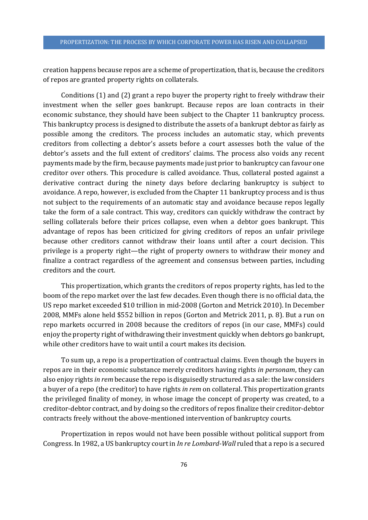creation happens because repos are a scheme of propertization, that is, because the creditors of repos are granted property rights on collaterals.

Conditions  $(1)$  and  $(2)$  grant a repo buyer the property right to freely withdraw their investment when the seller goes bankrupt. Because repos are loan contracts in their economic substance, they should have been subject to the Chapter 11 bankruptcy process. This bankruptcy process is designed to distribute the assets of a bankrupt debtor as fairly as possible among the creditors. The process includes an automatic stay, which prevents creditors from collecting a debtor's assets before a court assesses both the value of the debtor's assets and the full extent of creditors' claims. The process also voids any recent payments made by the firm, because payments made just prior to bankruptcy can favour one creditor over others. This procedure is called avoidance. Thus, collateral posted against a derivative contract during the ninety days before declaring bankruptcy is subject to avoidance. A repo, however, is excluded from the Chapter 11 bankruptcy process and is thus not subject to the requirements of an automatic stay and avoidance because repos legally take the form of a sale contract. This way, creditors can quickly withdraw the contract by selling collaterals before their prices collapse, even when a debtor goes bankrupt. This advantage of repos has been criticized for giving creditors of repos an unfair privilege because other creditors cannot withdraw their loans until after a court decision. This privilege is a property right—the right of property owners to withdraw their money and finalize a contract regardless of the agreement and consensus between parties, including creditors and the court.

This propertization, which grants the creditors of repos property rights, has led to the boom of the repo market over the last few decades. Even though there is no official data, the US repo market exceeded \$10 trillion in mid-2008 (Gorton and Metrick 2010). In December 2008, MMFs alone held \$552 billion in repos (Gorton and Metrick 2011, p. 8). But a run on repo markets occurred in 2008 because the creditors of repos (in our case, MMFs) could enjoy the property right of withdrawing their investment quickly when debtors go bankrupt, while other creditors have to wait until a court makes its decision.

To sum up, a repo is a propertization of contractual claims. Even though the buyers in repos are in their economic substance merely creditors having rights *in personam*, they can also enjoy rights *in rem* because the repo is disguisedly structured as a sale: the law considers a buyer of a repo (the creditor) to have rights *in rem* on collateral. This propertization grants the privileged finality of money, in whose image the concept of property was created, to a creditor-debtor contract, and by doing so the creditors of repos finalize their creditor-debtor contracts freely without the above-mentioned intervention of bankruptcy courts.

Propertization in repos would not have been possible without political support from Congress. In 1982, a US bankruptcy court in *In re Lombard*-*Wall* ruled that a repo is a secured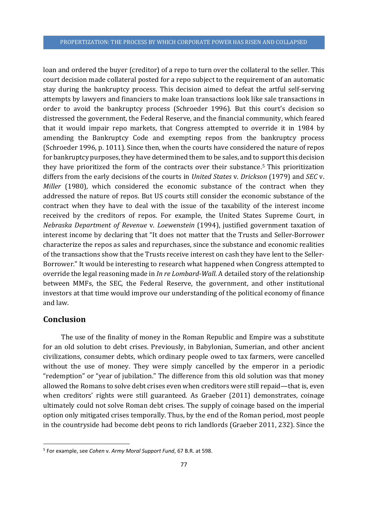loan and ordered the buyer (creditor) of a repo to turn over the collateral to the seller. This court decision made collateral posted for a repo subject to the requirement of an automatic stay during the bankruptcy process. This decision aimed to defeat the artful self-serving attempts by lawyers and financiers to make loan transactions look like sale transactions in order to avoid the bankruptcy process (Schroeder 1996). But this court's decision so distressed the government, the Federal Reserve, and the financial community, which feared that it would impair repo markets, that Congress attempted to override it in 1984 by amending the Bankruptcy Code and exempting repos from the bankruptcy process (Schroeder 1996, p. 1011). Since then, when the courts have considered the nature of repos for bankruptcy purposes, they have determined them to be sales, and to support this decision they have prioritized the form of the contracts over their substance.<sup>5</sup> This prioritization differs from the early decisions of the courts in *United States* v. *Drickson* (1979) and *SEC* v. *Miller* (1980), which considered the economic substance of the contract when they addressed the nature of repos. But US courts still consider the economic substance of the contract when they have to deal with the issue of the taxability of the interest income received by the creditors of repos. For example, the United States Supreme Court, in *Nebraska Department of Revenue v. Loewenstein* (1994), justified government taxation of interest income by declaring that "It does not matter that the Trusts and Seller-Borrower characterize the repos as sales and repurchases, since the substance and economic realities of the transactions show that the Trusts receive interest on cash they have lent to the Seller-Borrower." It would be interesting to research what happened when Congress attempted to override the legal reasoning made in *In re Lombard*–*Wall*. A detailed story of the relationship between MMFs, the SEC, the Federal Reserve, the government, and other institutional investors at that time would improve our understanding of the political economy of finance and law. 

## **Conclusion**

The use of the finality of money in the Roman Republic and Empire was a substitute for an old solution to debt crises. Previously, in Babylonian, Sumerian, and other ancient civilizations, consumer debts, which ordinary people owed to tax farmers, were cancelled without the use of money. They were simply cancelled by the emperor in a periodic "redemption" or "year of jubilation." The difference from this old solution was that money allowed the Romans to solve debt crises even when creditors were still repaid—that is, even when creditors' rights were still guaranteed. As Graeber (2011) demonstrates, coinage ultimately could not solve Roman debt crises. The supply of coinage based on the imperial option only mitigated crises temporally. Thus, by the end of the Roman period, most people in the countryside had become debt peons to rich landlords (Graeber 2011, 232). Since the

<sup>5</sup> For example, see *Cohen* v. *Army Moral Support Fund*, 67 B.R. at 598.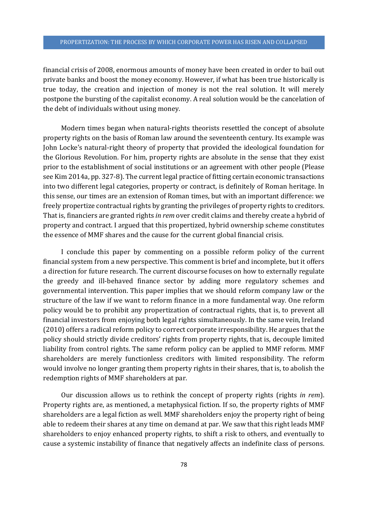#### PROPERTIZATION: THE PROCESS BY WHICH CORPORATE POWER HAS RISEN AND COLLAPSED

financial crisis of 2008, enormous amounts of money have been created in order to bail out private banks and boost the money economy. However, if what has been true historically is true today, the creation and injection of money is not the real solution. It will merely postpone the bursting of the capitalist economy. A real solution would be the cancelation of the debt of individuals without using money.

Modern times began when natural-rights theorists resettled the concept of absolute property rights on the basis of Roman law around the seventeenth century. Its example was John Locke's natural-right theory of property that provided the ideological foundation for the Glorious Revolution. For him, property rights are absolute in the sense that they exist prior to the establishment of social institutions or an agreement with other people (Please see Kim 2014a, pp. 327-8). The current legal practice of fitting certain economic transactions into two different legal categories, property or contract, is definitely of Roman heritage. In this sense, our times are an extension of Roman times, but with an important difference: we freely propertize contractual rights by granting the privileges of property rights to creditors. That is, financiers are granted rights *in rem* over credit claims and thereby create a hybrid of property and contract. I argued that this propertized, hybrid ownership scheme constitutes the essence of MMF shares and the cause for the current global financial crisis.

I conclude this paper by commenting on a possible reform policy of the current financial system from a new perspective. This comment is brief and incomplete, but it offers a direction for future research. The current discourse focuses on how to externally regulate the greedy and ill-behaved finance sector by adding more regulatory schemes and governmental intervention. This paper implies that we should reform company law or the structure of the law if we want to reform finance in a more fundamental way. One reform policy would be to prohibit any propertization of contractual rights, that is, to prevent all financial investors from enjoying both legal rights simultaneously. In the same vein, Ireland (2010) offers a radical reform policy to correct corporate irresponsibility. He argues that the policy should strictly divide creditors' rights from property rights, that is, decouple limited liability from control rights. The same reform policy can be applied to MMF reform. MMF shareholders are merely functionless creditors with limited responsibility. The reform would involve no longer granting them property rights in their shares, that is, to abolish the redemption rights of MMF shareholders at par.

Our discussion allows us to rethink the concept of property rights (rights *in rem*). Property rights are, as mentioned, a metaphysical fiction. If so, the property rights of MMF shareholders are a legal fiction as well. MMF shareholders enjoy the property right of being able to redeem their shares at any time on demand at par. We saw that this right leads MMF shareholders to enjoy enhanced property rights, to shift a risk to others, and eventually to cause a systemic instability of finance that negatively affects an indefinite class of persons.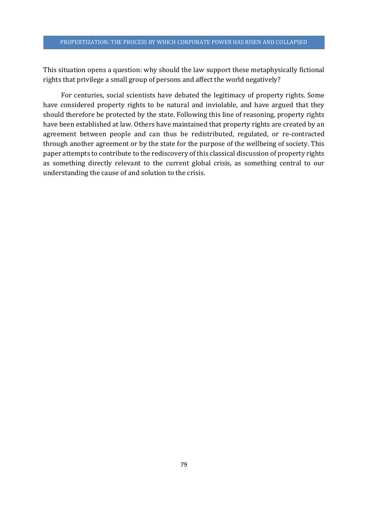This situation opens a question: why should the law support these metaphysically fictional rights that privilege a small group of persons and affect the world negatively?

For centuries, social scientists have debated the legitimacy of property rights. Some have considered property rights to be natural and inviolable, and have argued that they should therefore be protected by the state. Following this line of reasoning, property rights have been established at law. Others have maintained that property rights are created by an agreement between people and can thus be redistributed, regulated, or re-contracted through another agreement or by the state for the purpose of the wellbeing of society. This paper attempts to contribute to the rediscovery of this classical discussion of property rights as something directly relevant to the current global crisis, as something central to our understanding the cause of and solution to the crisis.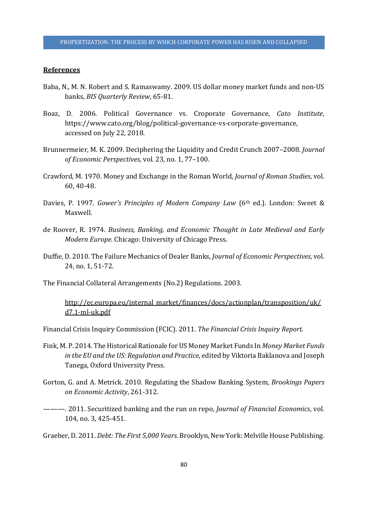#### **References**

- Baba, N., M. N. Robert and S. Ramaswamy. 2009. US dollar money market funds and non-US banks, *BIS Quarterly Review*, 65‐81.
- Boaz, D. 2006. Political Governance vs. Croporate Governance, *Cato Institute*, https://www.cato.org/blog/political‐governance‐vs‐corporate‐governance, accessed on July 22, 2018.
- Brunnermeier, M. K. 2009. Deciphering the Liquidity and Credit Crunch 2007–2008. *Journal of Economic Perspectives*, vol. 23, no. 1, 77–100.
- Crawford, M. 1970. Money and Exchange in the Roman World, *Journal of Roman Studies*, vol. 60, 40‐48.
- Davies, P. 1997. Gower's Principles of Modern Company Law (6<sup>th</sup> ed.). London: Sweet & Maxwell.
- de Roover, R. 1974. *Business, Banking, and Economic Thought in Late Medieval and Early Modern Europe.* Chicago: University of Chicago Press.
- Duffie, D. 2010. The Failure Mechanics of Dealer Banks, *Journal of Economic Perspectives*, vol. 24, no. 1, 51-72.
- The Financial Collateral Arrangements (No.2) Regulations. 2003.

http://ec.europa.eu/internal\_market/finances/docs/actionplan/transposition/uk/ d7.1‐ml‐uk.pdf 

Financial Crisis Inquiry Commission (FCIC). 2011. *The Financial Crisis Inquiry Report*. 

- Fink, M. P. 2014. The Historical Rationale for US Money Market Funds In Money Market Funds *in the EU and the US: Regulation and Practice*, edited by Viktoria Baklanova and Joseph Tanega, Oxford University Press.
- Gorton, G. and A. Metrick. 2010. Regulating the Shadow Banking System, *Brookings Papers on Economic Activity*, 261‐312.
- ———. 2011. Securitized banking and the run on repo, *Journal of Financial Economics*, vol. 104, no. 3, 425-451.

Graeber, D. 2011. *Debt: The First 5,000 Years*. Brooklyn, New York: Melville House Publishing.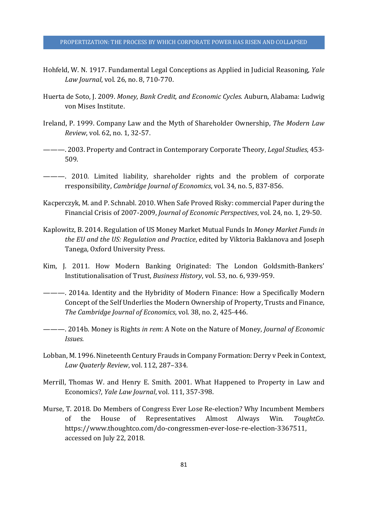- Hohfeld, W. N. 1917. Fundamental Legal Conceptions as Applied in Judicial Reasoning, *Yale Law Journal*, vol. 26, no. 8, 710-770.
- Huerta de Soto, J. 2009. *Money, Bank Credit, and Economic Cycles*. Auburn, Alabama: Ludwig von Mises Institute.
- Ireland, P. 1999. Company Law and the Myth of Shareholder Ownership, *The Modern Law Review*, vol. 62, no. 1, 32-57.
- ———. 2003. Property and Contract in Contemporary Corporate Theory, *Legal Studies*, 453-509.
- ———. 2010. Limited liability, shareholder rights and the problem of corporate rresponsibility, *Cambridge Journal of Economics*, vol. 34, no. 5, 837‐856.
- Kacperczyk, M. and P. Schnabl. 2010. When Safe Proved Risky: commercial Paper during the Financial Crisis of 2007‐2009, *Journal of Economic Perspectives*, vol. 24, no. 1, 29‐50.
- Kaplowitz, B. 2014. Regulation of US Money Market Mutual Funds In *Money Market Funds in the EU and the US: Regulation and Practice*, edited by Viktoria Baklanova and Joseph Tanega, Oxford University Press.
- Kim, J. 2011. How Modern Banking Originated: The London Goldsmith-Bankers' Institutionalisation of Trust, *Business History*, vol. 53, no. 6, 939-959.
- ———. 2014a. Identity and the Hybridity of Modern Finance: How a Specifically Modern Concept of the Self Underlies the Modern Ownership of Property, Trusts and Finance, *The Cambridge Journal of Economics*, vol. 38, no. 2, 425‐446.
- ———. 2014b. Money is Rights *in rem*: A Note on the Nature of Money, *Journal of Economic Issues.*
- Lobban, M. 1996. Nineteenth Century Frauds in Company Formation: Derry v Peek in Context, *Law Quaterly Review, vol.* 112, 287-334.
- Merrill, Thomas W. and Henry E. Smith. 2001. What Happened to Property in Law and Economics?, *Yale Law Journal*, vol. 111, 357‐398.
- Murse, T. 2018. Do Members of Congress Ever Lose Re-election? Why Incumbent Members of the House of Representatives Almost Always Win. *ToughtCo*. https://www.thoughtco.com/do‐congressmen‐ever‐lose‐re‐election‐3367511, accessed on July 22, 2018.